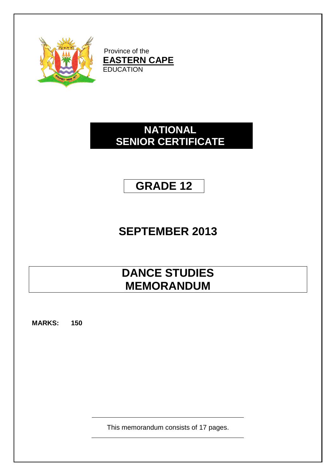

Province of the **EASTERN CAPE** EDUCATION

# **NATIONAL SENIOR CERTIFICATE**

# **GRADE 12**

# **SEPTEMBER 2013**

# **DANCE STUDIES MEMORANDUM**

**MARKS: 150**

This memorandum consists of 17 pages.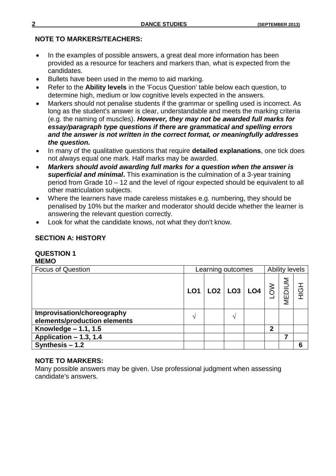#### **NOTE TO MARKERS/TEACHERS:**

- In the examples of possible answers, a great deal more information has been provided as a resource for teachers and markers than, what is expected from the candidates.
- Bullets have been used in the memo to aid marking.
- Refer to the **Ability levels** in the 'Focus Question' table below each question, to determine high, medium or low cognitive levels expected in the answers.
- Markers should not penalise students if the grammar or spelling used is incorrect. As long as the student's answer is clear, understandable and meets the marking criteria (e.g. the naming of muscles). *However, they may not be awarded full marks for essay/paragraph type questions if there are grammatical and spelling errors and the answer is not written in the correct format, or meaningfully addresses the question.*
- In many of the qualitative questions that require **detailed explanations**, one tick does not always equal one mark. Half marks may be awarded*.*
- *Markers should avoid awarding full marks for a question when the answer is superficial and minimal***.** This examination is the culmination of a 3-year training period from Grade 10 – 12 and the level of rigour expected should be equivalent to all other matriculation subjects.
- Where the learners have made careless mistakes e.g. numbering, they should be penalised by 10% but the marker and moderator should decide whether the learner is answering the relevant question correctly.
- Look for what the candidate knows, not what they don't know.

### **SECTION A: HISTORY**

#### **QUESTION 1 MEMO**

| <b>Focus of Question</b>                                   | Learning outcomes |  |                                       |                    |             | <b>Ability levels</b> |     |  |
|------------------------------------------------------------|-------------------|--|---------------------------------------|--------------------|-------------|-----------------------|-----|--|
|                                                            | LO <sub>1</sub>   |  | $\lfloor$ LO2 $\rfloor$ LO3 $\rfloor$ | $\overline{L}$ LO4 |             | MEDIUM                | HOH |  |
| Improvisation/choreography<br>elements/production elements | ᄾ                 |  | ٦١                                    |                    |             |                       |     |  |
| Knowledge $-1.1, 1.5$                                      |                   |  |                                       |                    | $\mathbf 2$ |                       |     |  |
| Application - 1.3, 1.4                                     |                   |  |                                       |                    |             |                       |     |  |
| Synthesis $-1.2$                                           |                   |  |                                       |                    |             |                       | 6   |  |

#### **NOTE TO MARKERS:**

Many possible answers may be given. Use professional judgment when assessing candidate's answers.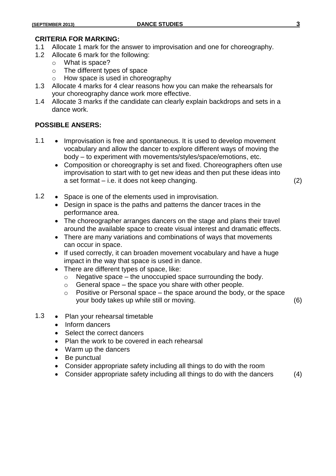# **CRITERIA FOR MARKING:**

- Allocate 1 mark for the answer to improvisation and one for choreography.
- 1.2 Allocate 6 mark for the following:
	- o What is space?
	- o The different types of space
	- o How space is used in choreography
- 1.3 Allocate 4 marks for 4 clear reasons how you can make the rehearsals for your choreography dance work more effective.
- 1.4 Allocate 3 marks if the candidate can clearly explain backdrops and sets in a dance work.

#### **POSSIBLE ANSERS:**

- 1.1 Improvisation is free and spontaneous. It is used to develop movement vocabulary and allow the dancer to explore different ways of moving the body – to experiment with movements/styles/space/emotions, etc.
	- Composition or choreography is set and fixed. Choreographers often use improvisation to start with to get new ideas and then put these ideas into a set format – i.e. it does not keep changing. (2)
- 1.2 Space is one of the elements used in improvisation.
	- Design in space is the paths and patterns the dancer traces in the performance area.
	- The choreographer arranges dancers on the stage and plans their travel around the available space to create visual interest and dramatic effects.
	- There are many variations and combinations of ways that movements can occur in space.
	- If used correctly, it can broaden movement vocabulary and have a huge impact in the way that space is used in dance.
	- There are different types of space, like:
		- $\circ$  Negative space the unoccupied space surrounding the body.
		- $\circ$  General space the space you share with other people.
		- $\circ$  Positive or Personal space the space around the body, or the space your body takes up while still or moving. (6)
- 1.3 Plan your rehearsal timetable
	- Inform dancers
	- Select the correct dancers
	- Plan the work to be covered in each rehearsal
	- Warm up the dancers
	- Be punctual
	- Consider appropriate safety including all things to do with the room
	- Consider appropriate safety including all things to do with the dancers (4)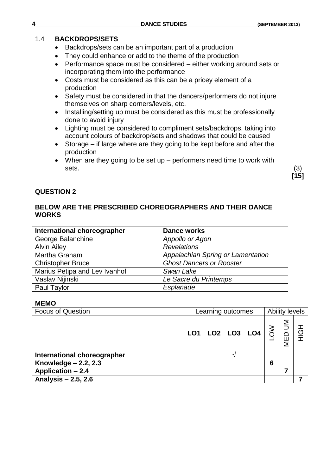#### 1.4 **BACKDROPS/SETS**

- Backdrops/sets can be an important part of a production
- They could enhance or add to the theme of the production
- Performance space must be considered either working around sets or incorporating them into the performance
- Costs must be considered as this can be a pricey element of a production
- Safety must be considered in that the dancers/performers do not injure themselves on sharp corners/levels, etc.
- Installing/setting up must be considered as this must be professionally done to avoid injury
- Lighting must be considered to compliment sets/backdrops, taking into account colours of backdrop/sets and shadows that could be caused
- Storage if large where are they going to be kept before and after the production
- When are they going to be set up performers need time to work with  $s$ ets.  $(3)$

**[15]**

### **QUESTION 2**

## **BELOW ARE THE PRESCRIBED CHOREOGRAPHERS AND THEIR DANCE WORKS**

| International choreographer   | Dance works                       |
|-------------------------------|-----------------------------------|
| George Balanchine             | Appollo or Agon                   |
| <b>Alvin Ailey</b>            | <b>Revelations</b>                |
| Martha Graham                 | Appalachian Spring or Lamentation |
| <b>Christopher Bruce</b>      | <b>Ghost Dancers or Rooster</b>   |
| Marius Petipa and Lev Ivanhof | Swan Lake                         |
| Vaslav Nijinski               | Le Sacre du Printemps             |
| Paul Taylor                   | Esplanade                         |

#### **MEMO**

| <b>Focus of Question</b>    | Learning outcomes |  |  |                               | <b>Ability levels</b> |                    |  |  |
|-----------------------------|-------------------|--|--|-------------------------------|-----------------------|--------------------|--|--|
|                             |                   |  |  | LO1 LO2 LO3 LO4 $\frac{3}{6}$ |                       | <b>NUID</b><br>MEI |  |  |
| International choreographer |                   |  |  |                               |                       |                    |  |  |
| Knowledge $-2.2, 2.3$       |                   |  |  |                               | 6                     |                    |  |  |
| <b>Application - 2.4</b>    |                   |  |  |                               |                       |                    |  |  |
| Analysis $-2.5, 2.6$        |                   |  |  |                               |                       |                    |  |  |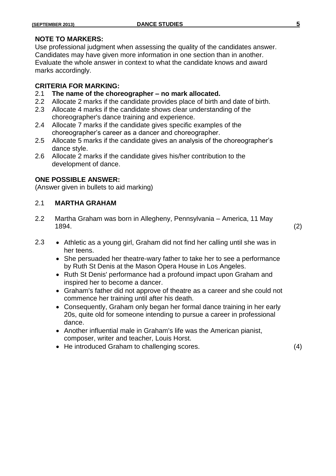#### **NOTE TO MARKERS:**

Use professional judgment when assessing the quality of the candidates answer. Candidates may have given more information in one section than in another. Evaluate the whole answer in context to what the candidate knows and award marks accordingly.

#### **CRITERIA FOR MARKING:**

- 2.1 **The name of the choreographer – no mark allocated.**
- 2.2 Allocate 2 marks if the candidate provides place of birth and date of birth.
- 2.3 Allocate 4 marks if the candidate shows clear understanding of the choreographer's dance training and experience.
- 2.4 Allocate 7 marks if the candidate gives specific examples of the choreographer's career as a dancer and choreographer.
- 2.5 Allocate 5 marks if the candidate gives an analysis of the choreographer's dance style.
- 2.6 Allocate 2 marks if the candidate gives his/her contribution to the development of dance.

#### **ONE POSSIBLE ANSWER:**

(Answer given in bullets to aid marking)

## 2.1 **MARTHA GRAHAM**

2.2 Martha Graham was born in Allegheny, Pennsylvania – America, 11 May 1894. (2)

- 2.3 Athletic as a young girl, Graham did not find her calling until she was in her teens.
	- She persuaded her theatre-wary father to take her to see a performance by Ruth St Denis at the Mason Opera House in Los Angeles.
	- Ruth St Denis' performance had a profound impact upon Graham and inspired her to become a dancer.
	- Graham's father did not approve of theatre as a career and she could not commence her training until after his death.
	- Consequently, Graham only began her formal dance training in her early 20s, quite old for someone intending to pursue a career in professional dance.
	- Another influential male in Graham's life was the American pianist, composer, writer and teacher, Louis Horst.
	- He introduced Graham to challenging scores. (4)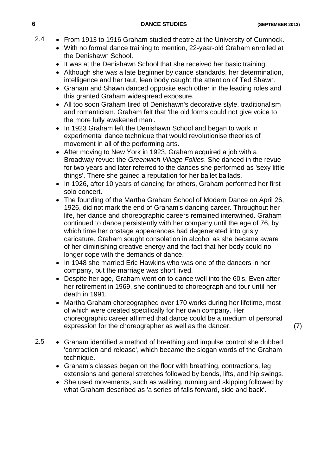- 2.4 From 1913 to 1916 Graham studied theatre at the University of Cumnock.
	- With no formal dance training to mention, 22-year-old Graham enrolled at the Denishawn School.
	- It was at the Denishawn School that she received her basic training.
	- Although she was a late beginner by dance standards, her determination, intelligence and her taut, lean body caught the attention of Ted Shawn.
	- Graham and Shawn danced opposite each other in the leading roles and this granted Graham widespread exposure.
	- All too soon Graham tired of Denishawn's decorative style, traditionalism and romanticism. Graham felt that 'the old forms could not give voice to the more fully awakened man'.
	- In 1923 Graham left the Denishawn School and began to work in experimental dance technique that would revolutionise theories of movement in all of the performing arts.
	- After moving to New York in 1923, Graham acquired a job with a Broadway revue: the *Greenwich Village Follies*. She danced in the revue for two years and later referred to the dances she performed as 'sexy little things'. There she gained a reputation for her ballet ballads.
	- In 1926, after 10 years of dancing for others, Graham performed her first solo concert.
	- The founding of the Martha Graham School of Modern Dance on April 26, 1926, did not mark the end of Graham's dancing career. Throughout her life, her dance and choreographic careers remained intertwined. Graham continued to dance persistently with her company until the age of 76, by which time her onstage appearances had degenerated into grisly caricature. Graham sought consolation in alcohol as she became aware of her diminishing creative energy and the fact that her body could no longer cope with the demands of dance.
	- In 1948 she married Eric Hawkins who was one of the dancers in her company, but the marriage was short lived.
	- Despite her age, Graham went on to dance well into the 60's. Even after her retirement in 1969, she continued to choreograph and tour until her death in 1991.
	- Martha Graham choreographed over 170 works during her lifetime, most of which were created specifically for her own company. Her choreographic career affirmed that dance could be a medium of personal expression for the choreographer as well as the dancer. (7)
- 2.5 Graham identified a method of breathing and impulse control she dubbed 'contraction and release', which became the slogan words of the Graham technique.
	- Graham's classes began on the floor with breathing, contractions, leg extensions and general stretches followed by bends, lifts, and hip swings.
	- She used movements, such as walking, running and skipping followed by what Graham described as 'a series of falls forward, side and back'.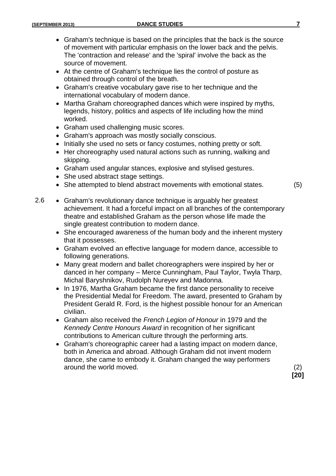- Graham's technique is based on the principles that the back is the source of movement with particular emphasis on the lower back and the pelvis. The 'contraction and release' and the 'spiral' involve the back as the source of movement.
- At the centre of Graham's technique lies the control of posture as obtained through control of the breath.
- Graham's creative vocabulary gave rise to her technique and the international vocabulary of modern dance.
- Martha Graham choreographed dances which were inspired by myths, legends, history, politics and aspects of life including how the mind worked.
- Graham used challenging music scores.
- Graham's approach was mostly socially conscious.
- Initially she used no sets or fancy costumes, nothing pretty or soft.
- Her choreography used natural actions such as running, walking and skipping.
- Graham used angular stances, explosive and stylised gestures.
- She used abstract stage settings.
- She attempted to blend abstract movements with emotional states. (5)
- 2.6 Graham's revolutionary dance technique is arguably her greatest achievement. It had a forceful impact on all branches of the contemporary theatre and established Graham as the person whose life made the single greatest contribution to modern dance.
	- She encouraged awareness of the human body and the inherent mystery that it possesses.
	- Graham evolved an effective language for modern dance, accessible to following generations.
	- Many great modern and ballet choreographers were inspired by her or danced in her company – Merce Cunningham, Paul Taylor, Twyla Tharp, Michal Baryshnikov, Rudolph Nureyev and Madonna.
	- In 1976, Martha Graham became the first dance personality to receive the Presidential Medal for Freedom. The award, presented to Graham by President Gerald R. Ford, is the highest possible honour for an American civilian.
	- Graham also received the *French Legion of Honour* in 1979 and the *Kennedy Centre Honours Award* in recognition of her significant contributions to American culture through the performing arts.
	- Graham's choreographic career had a lasting impact on modern dance, both in America and abroad. Although Graham did not invent modern dance, she came to embody it. Graham changed the way performers around the world moved. (2)

**[20]**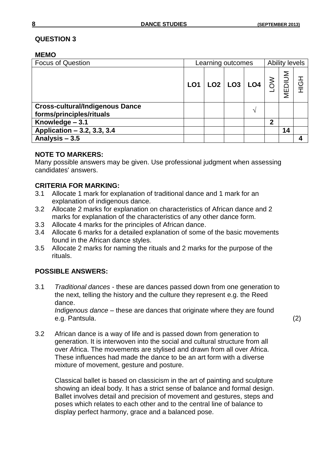#### **MEMO**

| <b>Focus of Question</b>                                           | Learning outcomes |  |                              |     |            | <b>Ability levels</b> |                               |  |
|--------------------------------------------------------------------|-------------------|--|------------------------------|-----|------------|-----------------------|-------------------------------|--|
|                                                                    | LO <sub>1</sub>   |  | $\textsf{LO}2 \textsf{LO}3 $ | LO4 | <b>NOT</b> | MEDIUM                | $\overline{\mathcal{O}}$<br>亍 |  |
| <b>Cross-cultural/Indigenous Dance</b><br>forms/principles/rituals |                   |  |                              |     |            |                       |                               |  |
| Knowledge - 3.1                                                    |                   |  |                              |     | 2          |                       |                               |  |
| Application - 3.2, 3.3, 3.4                                        |                   |  |                              |     |            | 14                    |                               |  |
| Analysis $-3.5$                                                    |                   |  |                              |     |            |                       | 4                             |  |

#### **NOTE TO MARKERS:**

Many possible answers may be given. Use professional judgment when assessing candidates' answers.

# **CRITERIA FOR MARKING:**

- 3.1 Allocate 1 mark for explanation of traditional dance and 1 mark for an explanation of indigenous dance.
- 3.2 Allocate 2 marks for explanation on characteristics of African dance and 2 marks for explanation of the characteristics of any other dance form.
- 3.3 Allocate 4 marks for the principles of African dance.
- 3.4 Allocate 6 marks for a detailed explanation of some of the basic movements found in the African dance styles.
- 3.5 Allocate 2 marks for naming the rituals and 2 marks for the purpose of the rituals.

# **POSSIBLE ANSWERS:**

3.1 *Traditional dances* - these are dances passed down from one generation to the next, telling the history and the culture they represent e.g. the Reed dance.

*Indigenous dance* – these are dances that originate where they are found e.g. Pantsula. (2)

3.2 African dance is a way of life and is passed down from generation to generation. It is interwoven into the social and cultural structure from all over Africa. The movements are stylised and drawn from all over Africa. These influences had made the dance to be an art form with a diverse mixture of movement, gesture and posture.

Classical ballet is based on classicism in the art of painting and sculpture showing an ideal body. It has a strict sense of balance and formal design. Ballet involves detail and precision of movement and gestures, steps and poses which relates to each other and to the central line of balance to display perfect harmony, grace and a balanced pose.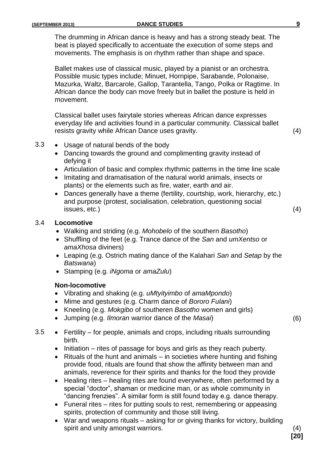The drumming in African dance is heavy and has a strong steady beat. The beat is played specifically to accentuate the execution of some steps and movements. The emphasis is on rhythm rather than shape and space.

Ballet makes use of classical music, played by a pianist or an orchestra. Possible music types include; Minuet, Hornpipe, Sarabande, Polonaise, Mazurka, Waltz, Barcarole, Gallop, Tarantella, Tango, Polka or Ragtime. In African dance the body can move freely but in ballet the posture is held in movement.

Classical ballet uses fairytale stories whereas African dance expresses everyday life and activities found in a particular community. Classical ballet resists gravity while African Dance uses gravity. (4)

- 3.3 Usage of natural bends of the body
	- Dancing towards the ground and complimenting gravity instead of defying it
	- Articulation of basic and complex rhythmic patterns in the time line scale
	- Imitating and dramatisation of the natural world animals, insects or plants) or the elements such as fire, water, earth and air.
	- Dances generally have a theme (fertility, courtship, work, hierarchy, etc.) and purpose (protest, socialisation, celebration, questioning social  $\blacksquare$  issues, etc.) (4)

#### 3.4 **Locomotive**

- Walking and striding (e.g. *Mohobelo* of the southern *Basotho*)
- Shuffling of the feet (e.g. Trance dance of the *San* and *umXentso* or *amaXhosa* diviners)
- Leaping (e.g. Ostrich mating dance of the Kalahari *San* and *Setap* by the *Batswana*)
- Stamping (e.g. *iNgoma* or *amaZulu*)

#### **Non-locomotive**

- Vibrating and shaking (e.g. *uMtyityimbo* of *amaMpondo*)
- Mime and gestures (e.g. Charm dance of *Bororo Fulani*)
- Kneeling (e.g. *Mokgibo* of southeren *Basotho* women and girls)
- Jumping (e.g. *Ilmoran* warrior dance of the *Masai*) (6)
- 3.5 Fertility for people, animals and crops, including rituals surrounding birth.
	- $\bullet$  Initiation rites of passage for boys and girls as they reach puberty.
	- $\bullet$  Rituals of the hunt and animals in societies where hunting and fishing provide food, rituals are found that show the affinity between man and animals, reverence for their spirits and thanks for the food they provide
	- Healing rites healing rites are found everywhere, often performed by a special "doctor", shaman or medicine man, or as whole community in "dancing frenzies". A similar form is still found today e.g. dance therapy.
	- Funeral rites rites for putting souls to rest, remembering or appeasing spirits, protection of community and those still living.
	- War and weapons rituals asking for or giving thanks for victory, building spirit and unity amongst warriors. (4)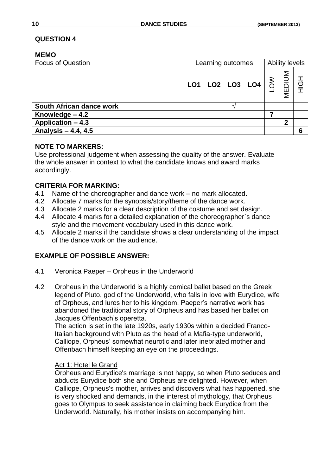#### **MEMO**

| <b>Focus of Question</b> | Learning outcomes |  |                         |  |               | <b>Ability levels</b> |                |  |
|--------------------------|-------------------|--|-------------------------|--|---------------|-----------------------|----------------|--|
|                          |                   |  | $LO1$ $LO2$ $LO3$ $LO4$ |  | $\frac{1}{2}$ | MEDIUM                | $\overline{5}$ |  |
| South African dance work |                   |  |                         |  |               |                       |                |  |
| Knowledge - 4.2          |                   |  |                         |  |               |                       |                |  |
| Application - 4.3        |                   |  |                         |  |               | 2                     |                |  |
| Analysis - 4.4, 4.5      |                   |  |                         |  |               |                       | 6              |  |

# **NOTE TO MARKERS:**

Use professional judgement when assessing the quality of the answer. Evaluate the whole answer in context to what the candidate knows and award marks accordingly.

# **CRITERIA FOR MARKING:**

- 4.1 Name of the choreographer and dance work no mark allocated.
- 4.2 Allocate 7 marks for the synopsis/story/theme of the dance work.
- 4.3 Allocate 2 marks for a clear description of the costume and set design.
- 4.4 Allocate 4 marks for a detailed explanation of the choreographer`s dance style and the movement vocabulary used in this dance work.
- 4.5 Allocate 2 marks if the candidate shows a clear understanding of the impact of the dance work on the audience.

# **EXAMPLE OF POSSIBLE ANSWER:**

- 4.1 Veronica Paeper Orpheus in the Underworld
- 4.2 Orpheus in the Underworld is a highly comical ballet based on the Greek legend of Pluto, god of the Underworld, who falls in love with Eurydice, wife of Orpheus, and lures her to his kingdom. Paeper's narrative work has abandoned the traditional story of Orpheus and has based her ballet on Jacques Offenbach's operetta.

The action is set in the late 1920s, early 1930s within a decided Franco-Italian background with Pluto as the head of a Mafia-type underworld, Calliope, Orpheus' somewhat neurotic and later inebriated mother and Offenbach himself keeping an eye on the proceedings.

#### Act 1: Hotel le Grand

Orpheus and Eurydice's marriage is not happy, so when Pluto seduces and abducts Eurydice both she and Orpheus are delighted. However, when Calliope, Orpheus's mother, arrives and discovers what has happened, she is very shocked and demands, in the interest of mythology, that Orpheus goes to Olympus to seek assistance in claiming back Eurydice from the Underworld. Naturally, his mother insists on accompanying him.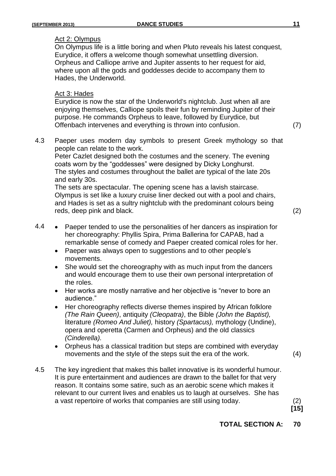#### Act 2: Olympus

On Olympus life is a little boring and when Pluto reveals his latest conquest, Eurydice, it offers a welcome though somewhat unsettling diversion. Orpheus and Calliope arrive and Jupiter assents to her request for aid, where upon all the gods and goddesses decide to accompany them to Hades, the Underworld.

#### Act 3: Hades

Eurydice is now the star of the Underworld's nightclub. Just when all are enjoying themselves, Calliope spoils their fun by reminding Jupiter of their purpose. He commands Orpheus to leave, followed by Eurydice, but Offenbach intervenes and everything is thrown into confusion. (7)

4.3 Paeper uses modern day symbols to present Greek mythology so that people can relate to the work.

Peter Cazlet designed both the costumes and the scenery. The evening coats worn by the "goddesses" were designed by Dicky Longhurst. The styles and costumes throughout the ballet are typical of the late 20s and early 30s.

The sets are spectacular. The opening scene has a lavish staircase. Olympus is set like a luxury cruise liner decked out with a pool and chairs, and Hades is set as a sultry nightclub with the predominant colours being reds, deep pink and black. (2)

- 4.4 Paeper tended to use the personalities of her dancers as inspiration for her choreography: Phyllis Spira, Prima Ballerina for CAPAB, had a remarkable sense of comedy and Paeper created comical roles for her.
	- Paeper was always open to suggestions and to other people's movements.
	- She would set the choreography with as much input from the dancers and would encourage them to use their own personal interpretation of the roles.
	- Her works are mostly narrative and her objective is "never to bore an audience."
	- Her choreography reflects diverse themes inspired by African folklore *(The Rain Queen)*, antiquity *(Cleopatra)*, the Bible *(John the Baptist),* literature *(Romeo And Juliet),* history *(Spartacus),* mythology (Undine), opera and operetta (Carmen and Orpheus) and the old classics *(Cinderella).*
	- Orpheus has a classical tradition but steps are combined with everyday movements and the style of the steps suit the era of the work. (4)
- 4.5 The key ingredient that makes this ballet innovative is its wonderful humour. It is pure entertainment and audiences are drawn to the ballet for that very reason. It contains some satire, such as an aerobic scene which makes it relevant to our current lives and enables us to laugh at ourselves. She has a vast repertoire of works that companies are still using today. (2)

**[15]**

**TOTAL SECTION A: 70**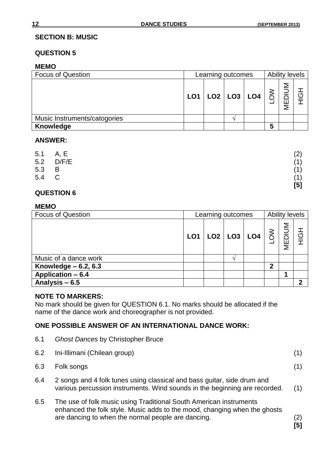## **SECTION B: MUSIC**

## **QUESTION 5**

# **MEMO**

| <b>Focus of Question</b>     | Learning outcomes | Ability levels |                         |   |            |   |
|------------------------------|-------------------|----------------|-------------------------|---|------------|---|
|                              |                   |                | $LO1$ $LO2$ $LO3$ $LO4$ |   | MUID<br>ΜE | O |
| Music Instruments/catogories |                   |                |                         |   |            |   |
| Knowledge                    |                   |                |                         | 5 |            |   |

# **ANSWER:**

|       | 5.1 A, E       | (2)                                                                                                                                                        |
|-------|----------------|------------------------------------------------------------------------------------------------------------------------------------------------------------|
| 5.2   | D/F/E          | (1)                                                                                                                                                        |
| 5.3   | $\overline{B}$ | (1)                                                                                                                                                        |
| 5.4 C |                | (1)                                                                                                                                                        |
|       |                | $[5] % \includegraphics[width=0.9\columnwidth]{figures/fig_1a} \caption{Schematic diagram of the top of the top of the top of the right.} \label{fig:1} %$ |

# **QUESTION 6**

#### **MEMO**

| <b>Focus of Question</b> |  | Learning outcomes       | <b>Ability levels</b> |              |        |                                  |
|--------------------------|--|-------------------------|-----------------------|--------------|--------|----------------------------------|
|                          |  | $LO1$ $LO2$ $LO3$ $LO4$ |                       | $rac{8}{10}$ | MEDIUM | $\overline{\textcircled{\circ}}$ |
| Music of a dance work    |  |                         |                       |              |        |                                  |
| Knowledge $-6.2, 6.3$    |  |                         |                       | 2            |        |                                  |
| Application $-6.4$       |  |                         |                       |              |        |                                  |
| Analysis - 6.5           |  |                         |                       |              |        | າ                                |

# **NOTE TO MARKERS:**

No mark should be given for QUESTION 6.1. No marks should be allocated if the name of the dance work and choreographer is not provided.

# **ONE POSSIBLE ANSWER OF AN INTERNATIONAL DANCE WORK:**

| 6.1 | <b>Ghost Dances by Christopher Bruce</b>                                                                                                                                                              |                         |
|-----|-------------------------------------------------------------------------------------------------------------------------------------------------------------------------------------------------------|-------------------------|
| 6.2 | Ini-Illimani (Chilean group)                                                                                                                                                                          | (1)                     |
| 6.3 | Folk songs                                                                                                                                                                                            | (1)                     |
| 6.4 | 2 songs and 4 folk tunes using classical and bass guitar, side drum and<br>various percussion instruments. Wind sounds in the beginning are recorded.                                                 | (1)                     |
| 6.5 | The use of folk music using Traditional South American instruments<br>enhanced the folk style. Music adds to the mood, changing when the ghosts<br>are dancing to when the normal people are dancing. | (2)<br>$\overline{[5]}$ |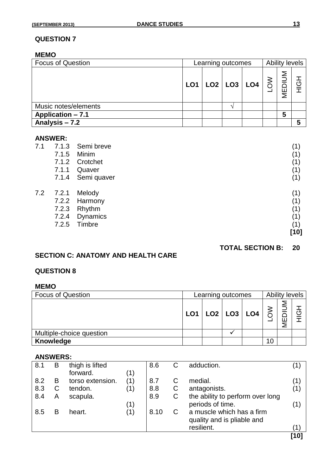#### **MEMO**

| <b>Focus of Question</b> | Learning outcomes |  |  |                             |        | <b>Ability levels</b> |        |  |  |
|--------------------------|-------------------|--|--|-----------------------------|--------|-----------------------|--------|--|--|
|                          | LO1               |  |  | $ $ LO2 $ $ LO3 $ $ LO4 $ $ | $\geq$ | <b>MEDIUM</b>         | 공<br>亍 |  |  |
| Music notes/elements     |                   |  |  |                             |        |                       |        |  |  |
| Application - 7.1        |                   |  |  |                             |        | 5                     |        |  |  |
| Analysis - 7.2           |                   |  |  |                             |        |                       | 5      |  |  |

# **ANSWER:**<br>7.1 7.1.3

| 7.1 | 7.1.3 | Semi breve      | (1)  |
|-----|-------|-----------------|------|
|     | 7.1.5 | Minim           | (1)  |
|     | 7.1.2 | Crotchet        | (1)  |
|     | 7.1.1 | Quaver          | (1)  |
|     | 7.1.4 | Semi quaver     | (1)  |
| 7.2 | 7.2.1 | Melody          | (1)  |
|     |       | 7.2.2 Harmony   | (1)  |
|     | 7.2.3 | Rhythm          | (1)  |
|     | 7.2.4 | <b>Dynamics</b> | (1)  |
|     | 7.2.5 | Timbre          | (1)  |
|     |       |                 | [10] |
|     |       |                 |      |

#### **TOTAL SECTION B: 20**

# **SECTION C: ANATOMY AND HEALTH CARE**

# **QUESTION 8**

#### **MEMO**

| <b>Focus of Question</b> | Learning outcomes |                                     |  |  |  | Ability levels |   |  |  |
|--------------------------|-------------------|-------------------------------------|--|--|--|----------------|---|--|--|
|                          | LO <sub>1</sub>   | $\vert$ LO2 $\vert$ LO3 $\vert$ LO4 |  |  |  | MNN<br>ш<br>Σ  | C |  |  |
| Multiple-choice question |                   |                                     |  |  |  |                |   |  |  |
| Knowledge                |                   |                                     |  |  |  |                |   |  |  |

# **ANSWERS:**

|     |   |                  |     |      |   |                                  | [10]  |
|-----|---|------------------|-----|------|---|----------------------------------|-------|
|     |   |                  |     |      |   | resilient.                       | (1)   |
|     |   |                  |     |      |   | quality and is pliable and       |       |
| 8.5 | B | heart.           | (1) | 8.10 |   | a muscle which has a firm        |       |
|     |   |                  | (1) |      |   | periods of time.                 | (1)   |
| 8.4 | Α | scapula.         |     | 8.9  | C | the ability to perform over long |       |
| 8.3 | C | tendon.          | (1) | 8.8  | C | antagonists.                     | (1)   |
| 8.2 | в | torso extension. | (1) | 8.7  | С | medial.                          | (1)   |
|     |   | forward.         | (1) |      |   |                                  |       |
| 8.1 | Β | thigh is lifted  |     | 8.6  |   | adduction.                       | ່ 1 ) |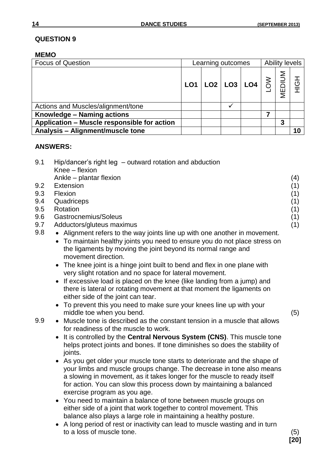### **MEMO**

| <b>Focus of Question</b>                    |     | Learning outcomes |  |                                                                                                                                                                                                          |  | <b>Ability levels</b> |      |  |
|---------------------------------------------|-----|-------------------|--|----------------------------------------------------------------------------------------------------------------------------------------------------------------------------------------------------------|--|-----------------------|------|--|
|                                             | LO1 |                   |  | $\left \text{LO2}\right \text{LO3}\left \text{LO4}\right \overset{>}{\underset{\text{D}}{\S}}\left \overset{\text{S}}{\underset{\text{D}}{\S}}\right \overset{\text{S}}{\underset{\text{E}}{\S}}\right $ |  |                       | HIGH |  |
| Actions and Muscles/alignment/tone          |     |                   |  |                                                                                                                                                                                                          |  |                       |      |  |
| Knowledge - Naming actions                  |     |                   |  |                                                                                                                                                                                                          |  |                       |      |  |
| Application - Muscle responsible for action |     |                   |  |                                                                                                                                                                                                          |  | 3                     |      |  |
| Analysis - Alignment/muscle tone            |     |                   |  |                                                                                                                                                                                                          |  |                       | 10   |  |

### **ANSWERS:**

| 9.1 | Hip/dancer's right leg – outward rotation and abduction<br>Knee - flexion                                                                                                                                                                                                                                                              |     |
|-----|----------------------------------------------------------------------------------------------------------------------------------------------------------------------------------------------------------------------------------------------------------------------------------------------------------------------------------------|-----|
|     | Ankle - plantar flexion                                                                                                                                                                                                                                                                                                                | (4) |
| 9.2 | Extension                                                                                                                                                                                                                                                                                                                              | (1) |
| 9.3 | Flexion                                                                                                                                                                                                                                                                                                                                | (1) |
| 9.4 | Quadriceps                                                                                                                                                                                                                                                                                                                             | (1) |
| 9.5 | Rotation                                                                                                                                                                                                                                                                                                                               | (1) |
| 9.6 | Gastrocnemius/Soleus                                                                                                                                                                                                                                                                                                                   | (1) |
| 9.7 | Adductors/gluteus maximus                                                                                                                                                                                                                                                                                                              | (1) |
| 9.8 | Alignment refers to the way joints line up with one another in movement.<br>• To maintain healthy joints you need to ensure you do not place stress on<br>the ligaments by moving the joint beyond its normal range and<br>movement direction.                                                                                         |     |
|     | The knee joint is a hinge joint built to bend and flex in one plane with<br>very slight rotation and no space for lateral movement.                                                                                                                                                                                                    |     |
|     | • If excessive load is placed on the knee (like landing from a jump) and<br>there is lateral or rotating movement at that moment the ligaments on<br>either side of the joint can tear.                                                                                                                                                |     |
|     | • To prevent this you need to make sure your knees line up with your<br>middle toe when you bend.                                                                                                                                                                                                                                      | (5) |
| 9.9 | • Muscle tone is described as the constant tension in a muscle that allows<br>for readiness of the muscle to work.                                                                                                                                                                                                                     |     |
|     | • It is controlled by the Central Nervous System (CNS). This muscle tone<br>helps protect joints and bones. If tone diminishes so does the stability of<br>joints.                                                                                                                                                                     |     |
|     | • As you get older your muscle tone starts to deteriorate and the shape of<br>your limbs and muscle groups change. The decrease in tone also means<br>a slowing in movement, as it takes longer for the muscle to ready itself<br>for action. You can slow this process down by maintaining a balanced<br>exercise program as you age. |     |
|     | • You need to maintain a balance of tone between muscle groups on<br>either side of a joint that work together to control movement. This<br>balance also plays a large role in maintaining a healthy posture.                                                                                                                          |     |
|     | A long period of rest or inactivity can lead to muscle wasting and in turn                                                                                                                                                                                                                                                             |     |
|     | to a loss of muscle tone.                                                                                                                                                                                                                                                                                                              | (5) |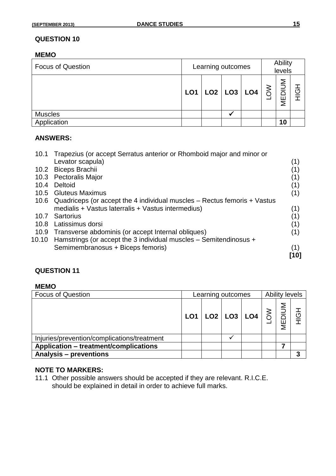#### **MEMO**

| <b>Focus of Question</b> | Learning outcomes |                             |  | Ability<br>levels |          |        |        |
|--------------------------|-------------------|-----------------------------|--|-------------------|----------|--------|--------|
|                          | LO1               | $ $ LO2 $ $ LO3 $ $ LO4 $ $ |  |                   | $\delta$ | MEDIUM | 공<br>亍 |
| <b>Muscles</b>           |                   |                             |  |                   |          |        |        |
| Application              |                   |                             |  |                   |          | 10     |        |

#### **ANSWERS:**

| 10.1  | Trapezius (or accept Serratus anterior or Rhomboid major and minor or    |      |
|-------|--------------------------------------------------------------------------|------|
|       | Levator scapula)                                                         | (1)  |
| 10.2  | Biceps Brachii                                                           |      |
| 10.3  | <b>Pectoralis Major</b>                                                  | (1)  |
| 10.4  | Deltoid                                                                  | (1)  |
| 10.5  | <b>Gluteus Maximus</b>                                                   | (1)  |
| 10.6  | Quadriceps (or accept the 4 individual muscles – Rectus femoris + Vastus |      |
|       | medialis + Vastus laterralis + Vastus intermedius)                       | (1)  |
| 10.7  | Sartorius                                                                |      |
| 10.8  | Latissimus dorsi                                                         | (1)  |
| 10.9  | Transverse abdominis (or accept Internal obliques)                       | (1)  |
| 10.10 | Hamstrings (or accept the 3 individual muscles – Semitendinosus +        |      |
|       | Semimembranosus + Biceps femoris)                                        | (1)  |
|       |                                                                          | [10] |

# **QUESTION 11**

#### **MEMO**

| <b>Focus of Question</b>                     | Learning outcomes |  |  |                                                                                                                                   | <b>Ability levels</b> |  |               |
|----------------------------------------------|-------------------|--|--|-----------------------------------------------------------------------------------------------------------------------------------|-----------------------|--|---------------|
|                                              | LO <sub>1</sub>   |  |  | $\begin{array}{ c c c c }\n\hline\n\text{LO2} & \text{LO3} & \text{LO4} & \text{S} & \text{S} & \text{O6} \\ \hline\n\end{array}$ |                       |  | <u>군</u><br>亍 |
| Injuries/prevention/complications/treatment  |                   |  |  |                                                                                                                                   |                       |  |               |
| <b>Application - treatment/complications</b> |                   |  |  |                                                                                                                                   |                       |  |               |
| <b>Analysis – preventions</b>                |                   |  |  |                                                                                                                                   |                       |  | 3             |

#### **NOTE TO MARKERS:**

11.1 Other possible answers should be accepted if they are relevant. R.I.C.E. should be explained in detail in order to achieve full marks.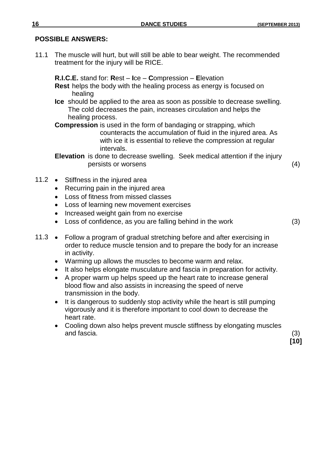### **POSSIBLE ANSWERS:**

11.1 The muscle will hurt, but will still be able to bear weight. The recommended treatment for the injury will be RICE.

**R.I.C.E.** stand for: **R**est – **I**ce – **C**ompression – **E**levation **Rest** helps the body with the healing process as energy is focused on healing

**Ice** should be applied to the area as soon as possible to decrease swelling. The cold decreases the pain, increases circulation and helps the healing process.

**Compression** is used in the form of bandaging or strapping, which counteracts the accumulation of fluid in the injured area. As with ice it is essential to relieve the compression at regular intervals.

**Elevation** is done to decrease swelling. Seek medical attention if the injury persists or worsens (4)

- 11.2 Stiffness in the injured area
	- Recurring pain in the injured area
	- Loss of fitness from missed classes
	- Loss of learning new movement exercises
	- Increased weight gain from no exercise
	- Loss of confidence, as you are falling behind in the work (3)

- 11.3 Follow a program of gradual stretching before and after exercising in order to reduce muscle tension and to prepare the body for an increase in activity.
	- Warming up allows the muscles to become warm and relax.
	- It also helps elongate musculature and fascia in preparation for activity.
	- A proper warm up helps speed up the heart rate to increase general blood flow and also assists in increasing the speed of nerve transmission in the body.
	- It is dangerous to suddenly stop activity while the heart is still pumping vigorously and it is therefore important to cool down to decrease the heart rate.
	- Cooling down also helps prevent muscle stiffness by elongating muscles and fascia. (3)

**[10]**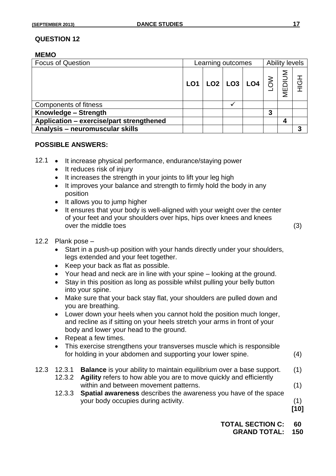#### **MEMO**

| <b>Focus of Question</b>                 | Learning outcomes |  |  |                                                                  | <b>Ability levels</b> |        |     |
|------------------------------------------|-------------------|--|--|------------------------------------------------------------------|-----------------------|--------|-----|
|                                          | LO <sub>1</sub>   |  |  | $\vert$ LO2 $\vert$ LO3 $\vert$ LO4 $\vert$ $\gtrless$ $\vert$ . |                       | MEDIUM | HộH |
| Components of fitness                    |                   |  |  |                                                                  |                       |        |     |
| Knowledge - Strength                     |                   |  |  |                                                                  | 3                     |        |     |
| Application - exercise/part strengthened |                   |  |  |                                                                  |                       | 4      |     |
| Analysis - neuromuscular skills          |                   |  |  |                                                                  |                       |        | 3   |

#### **POSSIBLE ANSWERS:**

- 12.1 It increase physical performance, endurance/staying power
	- It reduces risk of injury
	- It increases the strength in your joints to lift your leg high
	- It improves your balance and strength to firmly hold the body in any position
	- It allows you to jump higher
	- It ensures that your body is well-aligned with your weight over the center of your feet and your shoulders over hips, hips over knees and knees over the middle toes (3)

- 12.2 Plank pose
	- Start in a push-up position with your hands directly under your shoulders, legs extended and your feet together.
	- Keep your back as flat as possible.
	- Your head and neck are in line with your spine looking at the ground.
	- Stay in this position as long as possible whilst pulling your belly button into your spine.
	- Make sure that your back stay flat, your shoulders are pulled down and you are breathing.
	- Lower down your heels when you cannot hold the position much longer, and recline as if sitting on your heels stretch your arms in front of your body and lower your head to the ground.
	- Repeat a few times.
	- This exercise strengthens your transverses muscle which is responsible for holding in your abdomen and supporting your lower spine. (4)
- 12.3 12.3.1 **Balance** is your ability to maintain equilibrium over a base support. (1)
	- 12.3.2 **Agility** refers to how able you are to move quickly and efficiently within and between movement patterns. (1)
	- 12.3.3 **Spatial awareness** describes the awareness you have of the space your body occupies during activity. (1)

**[10]**

**TOTAL SECTION C: 60 GRAND TOTAL: 150**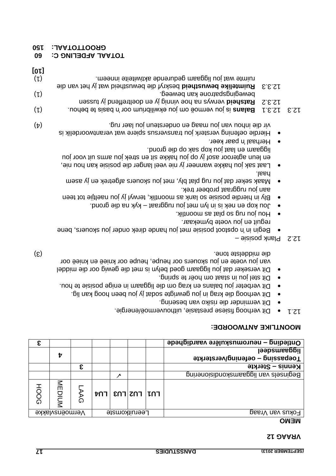# **12 VRAAG**

# **MEMO**

| ε    |                |         |  |                                 | Ontleding – neuromuskulêre vaardighede           |
|------|----------------|---------|--|---------------------------------|--------------------------------------------------|
|      | t              |         |  |                                 | liggaansdeel<br>Toepassing – oefening/versterkte |
|      |                | ε       |  |                                 | Kennis – Sterkte                                 |
|      |                |         |  |                                 | Beginsels van liggaanskondisionering             |
| HOOG | MUDIUM         | AG<br>G |  | $\lceil \ln \rceil$ רחו  רחז רח |                                                  |
|      | Vermoënsvlakke |         |  | Leeruitkomste                   | Fokus van Vraag                                  |
|      |                |         |  |                                 |                                                  |

# **: MOONTLIKE ANTWOORDE**

- . engregie is verhoog fisiese prestasie, uithouvermoë/energie.
- Dit verminder die risiko van besering.
- Dit verhoog die krag in jou gewrigte sodat jy jou been hoog kan lig.
- Dit verbeter jou balans en krag om die liggaam in enige posisie te hou.
- Dit stel jou in staat om hoër te spring.
- Dit verseker dat jou liggaam goed belyn is met die gewig oor die middel van jou voete en jou skouers oor heupe, heupe oor knieë en knieë oor (5) . tone die middelste middelste middelste middelste middelste middelste middelste middelste middelste middelste middelste middelste middelste middelste middelste middelste middelste middelste middelste middelste middels
- posisie Plank 12.2
- Begin in 'n opstoot posisie met jou hande direk onder jou skouers, bene reguit en jou voete bymekaar.
- Hou lou rug so plat as moontlik.
- .bou kop en nek is in lyn met jou ruggraat kyk na die grond.
- Bly in hierdie posisie so lank as moontlik, terwyl jy jou naeltjie tot teen . aan jou ruggraat probeer trek
- Maak seker dat jou rug plat bly, met jou skouers afgetrek en jy asem . haal
- Fast sak jon uakke wanneer jy nie veel langer die posisie kan hou nie, en leun agteroor asof jy op jou hakke sit en strek jou arms uit voor jou . boog eib qo kas qoy uoj taal en maaggil
- Herhaal 'n paar keer. Hierdie oefening versterk jou transversus spiere wat verantwoordelik is vir die inhou van jou maag en ondersteun jou laer rug.
- (1) . is jou vermoë om jou ekwilibrium oor 'n basis te behou **Balans** 12.3.1 12.3
- verwys na house vinnig jy en doerend in doeltreffend jy tussen (1) . bewegingspatrone kan beweeg. beweegingspatrone kan beweegen bewegingspatrone kan beweging van bewegingsp
- beskryf die bewustheid wat jy het van die **Ruimtelike bewustheid** 12.3.3 (1) . The mat jou liggaam gedurende aktiwiteite inneem. The matter is a control of the matter in the matter in **[10]**

# **60 TAAL AFDELING C: 60**

**150 AL: A TOT GROOT**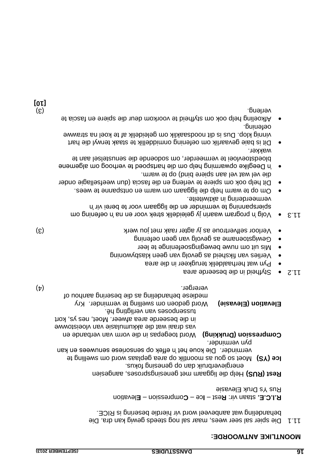#### **: MOONTLIKE ANTWOORDE**

11.1 Die spier sal seer wees, maar sal nog steeds gewig kan dra. Die . behandeling wat aanbeveel word vir hierdie besering is RICE

levation **E** – ompression **C**– ce **I** – est **R** staan vir: **. R.I.C.E** Rus Ys Druk Elevasie

Rest (RUS) Help die liggaam met genesingsproses, aangesien energieverbruik dan op genesing fokus.

**Ice (YS)** Moet so gou as moontlik op area geplaas word om swelling te

Die koue het 'n effek op sensoriese senuwees en kan verminder. pyn verminder.

Word toegepas in die vorm van verbande en **Compression (Drukking)** wat die akkumulasie van vloeistowwe in die beseerde area afweer. Moet, nes ys, kort tussenposes van verligting hê.

mediese behandeling as die besering aanhou of

Kry Word gedoen om swelling te verminder. **Elevation (Elevasie)**

(4) vererger.

- Styfheid in die beseerde area
- Pyn wat herhaaldelik terugkeer in die area
- Verlies van fiksheid as gevolg van geen klasbywoning
- Mis uit om nuwe bewegingsoefeninge te leer
- Gewigstoename as gevolg van geen oefening
- Verloor selfvertroue as jy agter raak met jou werk met verk met de verkende van de verkende van de v
- A  $\cdot$   $\cdot$   $\cdot$  blg in program waarin jy geleidelik strate voor en na 'n oefening om mog om in the strategy om  $\cdot$ spierspanning te verminder en die liggaam voor te berei vir 'n . vermeerdering in aktiwiteite
- . Om op te warm help die liggaam om warm en ontspanne te wees
- Dit help ook om spiere te verleng en die fascia (dun weefsellagie onder . die vel wat vel aan spiere bind) op te warm
- 'n Deeglike opwarming help om die hartspoed te verhoog om algemene bloedstoevloei te vermeerder, om sodoende die senustelsel aan te . wakker
- Dit is baie gevaarlik om oefening onmiddellik te staak terwyl die hart vinnig klop. Dus is dit noodsaaklik om geleidelik af te koel na strawwe . oefening
- Afkoeling help ook om styfheid te voorkom deur die spiere en fascia te (3) . verleng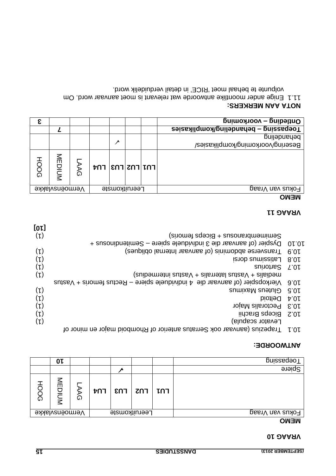#### **10 VRAAG**

### **MEMO**

| Duissedeo <sub>L</sub> |     |                               |            |   | 0ŀ                    |        |
|------------------------|-----|-------------------------------|------------|---|-----------------------|--------|
| Spiere                 |     |                               |            |   |                       |        |
|                        |     |                               |            |   |                       |        |
|                        | LU1 | $\mathsf{en}$   $\mathsf{on}$ | <b>FU4</b> | の | $\leq$<br><b>NUIC</b> | Ō<br>ဂ |
| Fokus van Vraag        |     | Leeruitkomste                 |            |   | Vermoënsvlakke        |        |
| $\bigcap \{A\}$        |     |                               |            |   |                       |        |

### **: ANTWOORDE**

| [01]           |                                                                             |       |
|----------------|-----------------------------------------------------------------------------|-------|
| $(\iota)$      | Semimembranosus + Biceps femoris)                                           |       |
|                | Dyspier (of aanvaar die 3 individuele spiere – Semitendinosus +             | 01.01 |
| $(\mu)$        | Transverse abdominis (of aanvaar Internal obliques)                         | 6.01  |
| $(\iota)$      | Latissimus dorsi                                                            | 8.0   |
| $(\mathsf{L})$ | Suinothes                                                                   | L'OL  |
| $(\iota)$      | medialis + Vastus laterralis + Vastus intermedius)                          |       |
|                | Vastropspier (of aanvaar die 4 individuele spiere – Rectus femoris + Vastus | 9'0 L |
| $(\iota)$      | Gluteus Maximus                                                             | 9'01  |
| $(\mathsf{L})$ | Diotle <sup>i</sup> d                                                       | 4.01  |
| $(\mathsf{L})$ | Pectoralis Major                                                            | E.01  |
| (L)            | Biceps Brachii                                                              | 2.01  |
| $(\mathsf{L})$ | Fevator scapula)                                                            |       |
|                | Trapezius (asnyaar ook Serratus anterior of Rhomboid major en minor of      | L'OL  |

#### **11 VRAAG**

# **MEMO**

| <b>Duileding - voorkoming</b>         |               |   |                                                     |         |                |             |
|---------------------------------------|---------------|---|-----------------------------------------------------|---------|----------------|-------------|
| Toepassing - behandeling/komplikasies |               |   |                                                     |         |                |             |
| pepandeling                           |               |   |                                                     |         |                |             |
| Besering/voorkoming/komplikasies/     |               | ↗ |                                                     |         |                |             |
|                                       |               |   | $\mathsf{F}$  רחו $\mathsf{F}$  רח $\mathsf{F}$  רח | AG<br>G | MEDIUM         | <b>HOOG</b> |
| Fokus van Vraag                       | Leeruitkomste |   |                                                     |         | Vermoënsvlakke |             |
| $\sim$ $-$                            |               |   |                                                     |         |                |             |

# **: NOTA AAN MERKERS**

Om . Aanvaar woontlike antwoorde wat relevant al enongenaar word. Om volpunte te behaal moet 'RICE' in detail verduidelik word.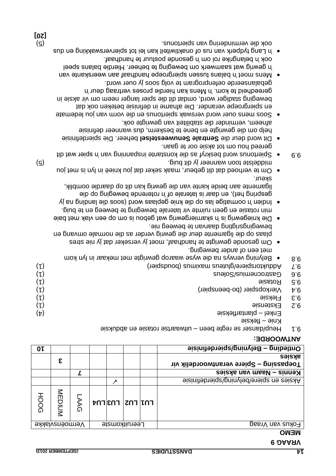**3**

# **9 VRAAG**

|  | н<br>ч<br>٠ |
|--|-------------|

|  | ----- |  | ---- |                |  |
|--|-------|--|------|----------------|--|
|  |       |  |      | <b>NITTIAI</b> |  |

|  | <b>UNILIVI</b> |
|--|----------------|

| Toepassing – Spiere verantwoordelik vir |                                                         |  |   | ъ.                                                    |     |
|-----------------------------------------|---------------------------------------------------------|--|---|-------------------------------------------------------|-----|
| Kennis – Naam van aksies                |                                                         |  |   |                                                       |     |
| Aksies en spiere/belyning/spietafinisie |                                                         |  |   |                                                       |     |
|                                         | $\mathsf{F}\mathsf{D}$   רח $\mathsf{F}\mathsf{D}$   רח |  | Ω | $\stackrel{\textstyle\leq}{\textstyle\equiv}$<br>DIUM | HOC |
| Fokus van Vraag                         | Leeruitkomste                                           |  |   | Vermoënsvlakke                                        |     |
| $\bigcap \{1,1\}$                       |                                                         |  |   |                                                       |     |

#### **: ANTWOORDE**

**aksies**

| 9.1 Heup/danser se regte been – uitwaartse rotasie en abduksie |  |
|----------------------------------------------------------------|--|
|----------------------------------------------------------------|--|

| $(\iota)$  | Adduktorspiere/gluteus maximus (boudspier) | L.6              |
|------------|--------------------------------------------|------------------|
| $(\iota)$  | Gastrocnemius/Solens                       | 9.6              |
| $(\iota)$  | Rotasie                                    | G.6              |
| $(\iota)$  | Vierkopspier (bo-beenspier)                | $\overline{v}$ 6 |
| $(\iota)$  | Fleksie                                    | E.9              |
| $(\iota)$  | Ekstensie                                  | Z.6              |
| $(\nabla)$ | Enkel – plantarfleksie                     |                  |
|            | Knie – fleksie                             |                  |
|            |                                            |                  |

**10 Belyning/spierdefinisie – Ontleding** 

. met een of ander beweging Om gesonde gewrigte te handhaaf, moet jy verseker dat jy nie stres plaas op die ligamente deur die gewrig verder as die normale omvang en . bewegingsrigting daarvan te beweeg nie

9.8 · Belyning verwys na die wyse waarop gewrigte met mekaar in lyn kom

- Die kniegewrig is 'n skarniergewrig wat gebou is om op een vlak met baie min rotasie en geen ruimte vir laterale beweging te beweeg en te buig.
- Indige last op die knie die knie die knie die lang on die langing van die landing van die landing van die land gespring het), en daar is laterale of 'n roterende beweging op die ligamente aan beide kante van die gewrig kan dit op daardie oomblik,
- skeur. Om te verhoed dat dit gebeur, maak seker dat jou knieë in lyn is met jou (5) . middelste toon wanneer jy dit buig to the top to distribute the top of the top of the top of the top of the top of the top of the top of the top of the top of the top of the top of the top of the top of the top of th
- 9.9  $\,$  spier wat dip van Spier wat dit van Spier wat dit van Spier wat dit spier wat dit van dit van  $9.8$
- . gereed hou om tot aksie oor te gaan **• Dit word deur die Sentrale Senuweestelsel beheer. Die spierdefinisie** help om die gewrigte en bene te beskerm, dus wanneer definisie . afneem, verminder die stabiliteit van gewrigte ook
- Soos mens ouer word verswak spiertonus en die vorm van jou ledemate en spiergroepe verander. Die afname in definisie beteken ook dat beweging stadiger word, omdat dit die spier langer neem om vir aksie in gereedheid te kom. 'n Mens kan hierdie proses vertraag deur 'n
- . gebalanseerde oefenprogram te volg soos jy ouer word they are the palans tussen spiergroepe handhaaf aan weerskante van 'n gewrig wat saamwerk om beweging te beheer. Hierdie balans speel . ook 'n belangrike rol om 'n gesonde postuur te handhaaf

**[20]**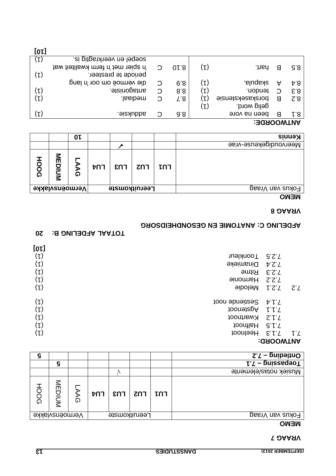#### **7 VRAAG**

#### **MEMO**

| ဌ           |                |           |     |                                                             |               |       | $\overline{C'}$ – buibeling |
|-------------|----------------|-----------|-----|-------------------------------------------------------------|---------------|-------|-----------------------------|
|             | ဌ              |           |     |                                                             |               |       | <b>L.</b> T – pnizzagooT    |
|             |                |           |     | 'V                                                          |               |       | Musiek notas/elemente       |
| <b>HOOG</b> | MUDIUM         | <u> ධ</u> | t∪4 | $\mathsf{E} \cap \mathsf{E}$   $\mathsf{E} \cap \mathsf{E}$ |               | ื้µ∩า |                             |
|             | Vermoënsvlakke |           |     |                                                             | Leeruitkomste |       | Fokus van Vraag             |

#### **: ANTWOORD**

| $[0 \nu]$        |                  |                       |     |
|------------------|------------------|-----------------------|-----|
| $(\iota)$        | <b>Toonkleur</b> | <b>S.S.T</b>          |     |
| $(\mathfrak{p})$ | <b>Dinamieke</b> | 7.2.4                 |     |
| $(\mathfrak{p})$ | <b>Ritme</b>     | 5.2.5                 |     |
| $(\mathsf{L})$   | <b>Harmonie</b>  | 7.2.Z                 |     |
| $(\mathfrak{p})$ | Melodie          | 7.2.1                 | 7.T |
| $(\iota)$        | Sestiende noot   | ヤトノ                   |     |
| $(\iota)$        | <b>hooneispA</b> | l'l'                  |     |
| $(\mathsf{L})$   | Kwartnoot        | 2.1.7                 |     |
| $(\mathsf{L})$   | <b>Halfnoot</b>  | G.L.L                 |     |
| (L)              | Heelnoot         | $E \upharpoonright T$ | ŀZ  |
|                  |                  | <b>HULLMANT TI</b>    |     |

### **10TAAL AFDELING B: 20**

# **AFDELING C: ANATOMIE EN GESONDHEIDSORG**

### **8 VRAAG**

#### **MEMO**

|                                        |           | 0 L    |     |     |            |     | <b>Kennis</b>         |
|----------------------------------------|-----------|--------|-----|-----|------------|-----|-----------------------|
|                                        |           |        |     |     |            |     | Meervoudigekeuse-vrae |
| <b>HOOG</b>                            | 즭<br>MUIC | ъ<br>ດ | t∩1 | rns | <b>ZNT</b> | LUI |                       |
| <b>Vermoënsvlakke</b><br>Leeruitkomste |           |        |     |     |            |     | Fokus van Vraag       |

# **: ANTWOORDE**

| [10]           |                                |          |      |                |                  |   |     |
|----------------|--------------------------------|----------|------|----------------|------------------|---|-----|
| $(\downarrow)$ | si gitgs Meerkragtig is.       |          |      |                |                  |   |     |
|                | taw tietikwa met n' temper wat | $\Omega$ | 01.8 | $(\iota)$      | hart.            | В | 9.8 |
| $(\mathsf{L})$ | periode te presteer.           |          |      |                |                  |   |     |
|                | gie vermoë om oor 'n lang      | C        | 6.8  | $(\mathsf{L})$ | skapula.         | A | 4.8 |
| $(\mathsf{L})$ | antagoniste.                   | C        | 8.8  | $(\downarrow)$ | tendon.          | C | E.8 |
| $(\iota)$      | .lssibəm                       | C        | T.8  | $(\mathsf{L})$ | borskasekstensie | В | 2.8 |
|                |                                |          |      | $(\downarrow)$ | gelig word.      |   |     |
| $(\mathsf{L})$ | ais Aubbs.                     | C        | 9.8  |                | been na vore     | В | r.8 |
|                |                                |          |      |                | .                |   |     |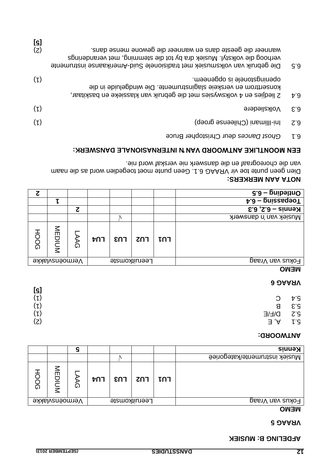**[5]**

# **MUSIEK**

#### **5 VRAAG**

| v<br>– | ٠ |  |  |
|--------|---|--|--|
|        |   |  |  |
|        |   |  |  |
|        |   |  |  |
|        |   |  |  |
|        |   |  |  |

| <b>Kennis</b>                 |     |     |               |     |   |                |        |
|-------------------------------|-----|-----|---------------|-----|---|----------------|--------|
| Nusiek instrumente/kategorieë |     |     | r             |     |   |                |        |
|                               | LU1 | רחז | EN3           | ר∩ז | ᠗ | ≤<br>Ш<br>MUIC | 공<br>ᠺ |
| Fokus van Vraag               |     |     | Leeruitkomste |     |   | Vermoënsvlakke |        |
| <b>NENO</b>                   |     |     |               |     |   |                |        |

#### **: ANTWOORD**

| [ç]       |                          | .                         |
|-----------|--------------------------|---------------------------|
| (L)       | $\mathcal{C}$            | Þ.∂                       |
| $(\iota)$ | В                        | $\mathcal{E}.\mathcal{S}$ |
| $(\iota)$ | D\F\E                    | $Z$ .2                    |
| (z)       | $\mathsf{A}, \mathsf{E}$ | ŀG                        |

#### **6 VRAAG**

#### **MEMO**

| ट                               |        |   |                 |     |     |     | $\overline{6.8}$ – pnibelinO         |
|---------------------------------|--------|---|-----------------|-----|-----|-----|--------------------------------------|
|                                 |        |   |                 |     |     |     | $\overline{v \cdot 9}$ – buissedeo T |
|                                 |        | ट |                 |     |     |     | Kennis – 6.2, 6.3                    |
|                                 |        |   |                 |     |     |     | Musiek van 'n danswerk               |
| <b>HOOG</b>                     | MEDIUM | δ | רחל             | εηa | רחז | LUJ |                                      |
| Vermoënsvlakke<br>Leeruitkomste |        |   | Fokus van Vraag |     |     |     |                                      |

#### **: NOTA AAN MERKERS**

Dien geen punte toe vir VRAAG 6.1. Geen punte moet toegedien word as die naam van die choreograaf en die danswerk nie verskaf word nie.

#### EEN MOONTLIKE ANTWOORD VAN 'N INTERNASIONALE DANSWERK:

Christopher Bruce deur *Ghost Dances* 6.1

| G.3                  | wanneer die geeste dans en wanneer die gewone mense dans.<br>verhoog die volkstyl. Musiek dra by tot die stemming, met veranderings<br>Die gebruik van volksnusiek met tradisionele Suid-Amerikaanse instrumente | (Z) |
|----------------------|------------------------------------------------------------------------------------------------------------------------------------------------------------------------------------------------------------------|-----|
| $\mathfrak{p}$ . $9$ | .meenepgo zi elenotagnineqo<br>konserttrom en verskele slaginstrumente. Die windgeluide in die<br>2 liedjies en 4 volkswysies met die gebruik van klassieke en baskitaar,                                        | (L) |
| £.3                  | Volksliedere                                                                                                                                                                                                     | (L) |
| Z.3                  | Ini-Illimani (Chileense groep)                                                                                                                                                                                   | (L) |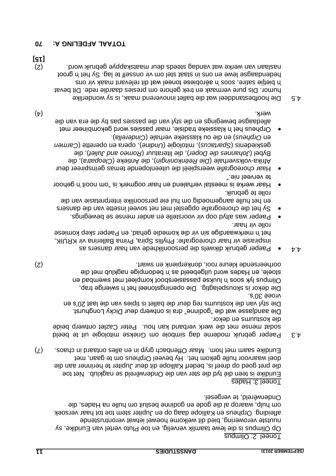Toneel 2: Olimpus

Op Olimpus is die lewe taamlik vervelig, en toe Pluto vertel van Euridike, sy nuutste verowering, bied dit welkome hoewel ietwat verontrustende versoek afleiding. Orpheus en Kalliope daag op en Jupiter stem toe tot haar om hulp, waarop al die gode en godinne besluit om hulle na Hades, die . Onderwêreld, te vergesel

#### Toneel 3: Hades

Euridike is teen dié tyd die ster van die Onderwêreld se nagklub. Net toe die pret goed op dreef is, bederf Kalliope dit deur Jupiter te herinner aan die doel waarvoor hulle gekom het. Hy beveel Orpheus om te gaan, met Euridike saam met hom. Maar Offenbach gryp in en alles ontaard in chaos.  $(7)$ 

 $\Delta$ .3 Paeper gebruik moderne dag simbole om Griekse mitologie uit te beeld sodat mense met die werk verband kan hou. Peter Cazlet ontwerp beide . die kostuums en dekor

Die aandjasse wat die "godinne" dra is ontwerp deur Dicky Longhurst. Die styl van die kostuums reg deur die ballet is tipies van die laat 20's en . 30's vroeë

Die dekor is skouspelagtig. Die openingstoneel het 'n swierige trap, Olimpus lyk soos 'n luukse passasiersboot kompleet met swembad en stoele, en Hades word uitgebeeld as 'n bedompige nagklub met die (2) . oorheersende kleure rooi, donkerpienk en swart

- $4.4 \bullet$  Paeper gebruik dikwels die persoonlikhede van haar dansers as inspirasie vir haar choreografie: Phyllis Spira, Prima Ballerina vir KRUIK, het 'n merkwaardige sin vir die komedie gehad, en Paeper skep komiese rolle vir haar.
- Paeper was altyd oop vir voorstelle en ander mense se bewegings.
- Sy het die choreografie opgestel met net soveel insette van die dansers en het hulle aangemoedig om hul eie persoonlike interpretasie van die . rolle te gebruik
- Haar werke is meestal verhalend en haar oogmerk is "om nooit 'n gehoor te verveel nie."
- Haar choreografie weerspieël die uiteenlopende temas geïnspireer deur ), die *Cleopatra* ), die Antieke ( *Die Reënkoningin* volksverhale ( - Afrika ), die *Romeo and Juliet* ), die literatuur ( *Johannes die Doper* Bybel ( *Carmen* ), opera en operette ( *Undine* ologie ( ), mit *s Spartacu* geskiedenis ( ). *Cinderella* ) en die ou klassieke verhale ( *Orpheus* en
- Orpheus het 'n klassieke tradisie, maar passies word gekombineer met alledaagse bewegings en die styl van die passies pas by die era van die werk.  $(\bf 4)$

Die hoofbestanddeel wat die ballet innoverend maak, is sy wonderlike 4.5 humor. Dis pure vermaak en trek gehore om presies daardie rede. Dit bevat vir bietjies and an aërobiese toneel wat dit relevant maak vir ons froot groot is en ons in staat staat het staat te lag. Sy het is ongered naslaan van werke wat vandag steeds deur maatskappye gebruik word.<br>(2)

#### **70 TOTAAL AFDELING A:** 70

**[15]**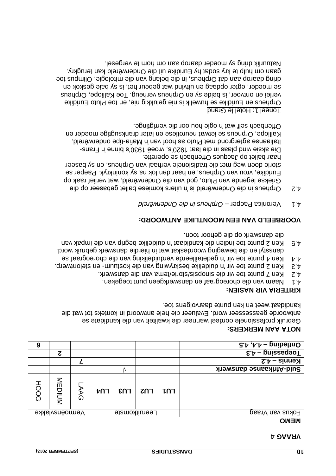#### **4 VRAAG**

#### **MEMO**

| $\overline{G\cdot b}$ ' $b\cdot b -$ buipalino            |               |     |     |     |                |        | 9           |
|-----------------------------------------------------------|---------------|-----|-----|-----|----------------|--------|-------------|
| Toebsese –<br>$\epsilon$ , $\tau$                         |               |     |     |     |                | ट      |             |
| $\zeta$ $\zeta$ – $\zeta$ – $\zeta$ – $\zeta$ – sigmarity |               |     |     |     |                |        |             |
| Suid-Afrikaanse danswerk                                  |               |     | N   |     |                |        |             |
|                                                           | LUJ           | רחז | EUS | רחז | AAG            | MEDIUM | <b>HOOG</b> |
| Fokus van Vraag                                           | Leeruitkomste |     |     |     | Vermoënsvlakke |        |             |
| $\sim$ $\sim$ $\sim$ $\sim$                               |               |     |     |     |                |        |             |

#### **: NOTA AAN MERKERS**

Gebruik professionele oordeel wanneer die kwaliteit van die kandidate se antwoorde geassesseer word. Evalueer die hele antwoord in konteks tot wat die . kandidaat weet en ken punte daarvolgens toe

#### **: KRITERIA VIR NASIEN**

- 4.1 Waam van die choreograaf en danswerkgeen punt toegeken.
- 4.2 Ken 7 punte toe vir die sinopsis/andry. Die vir die danswerk.
- 4.3 Freu Suite toe vir 'n duidelike beskrywing van die kostuum- en stelontwerp.
- 4.4 Sen 4 punte toe vir 'n gedetailleerde verduideliking van die choreograaf se dansstyl en die beweging woordeskat wat in hierdie danswerk gebruik word.
- $A \cdot B$  Ken and begrip van begrip van duidelike begrip van die impak van . op die danswerk die depoor toon

# **VOORBEELD VAN EEN MOONTLIKE ANTWOORD:**

- 4.1 Veronica Paeper Orpheus in die Onderwêreld
- Orpheus in die Onderwêreld is 'n uiters komiese ballet gebaseer op die 4.2 Griekse legende van Pluto, god van die Onderwêreld, wat verlief raak op Euridike, vrou van Orpheus, en haar dan lok na sy koninkryk. Paeper se storie doen weg met die tradisionele verhaal van Orpheus, en sy baseer haar ballet op Jacques Offenbach se operette. - Die aksie vind plaas in die laat 1920's, vroeë 1930's binne 'n Frans

taliaanse agtergrond met Pluto as hoof van 'n Mafia-tipe onderwêreld, Kalliope, Orpheus se ietwat neurotiese en later dranksugtige moeder en Offenbach self wat 'n ogie hou oor die verrigtinge.

#### Toneel 1: Hotel le Grand

Orpheus en Euridike se huwelik is nie gelukkig nie, en toe Pluto Euridike verlei en ontvoer, is beide sy en Orpheus verheug. Toe Kalliope, Orpheus se moeder, egter opdaag en uitvind wat gebeur het, is sy baie geskok en dring daarop aan dat Orpheus, in die belang van die mitologie, Olimpus toe gaan om hulp te kry sodat hy Euridike uit die Onderwêreld kan terugkry. . Ie vergesel van daarop aan om hom te vergesel.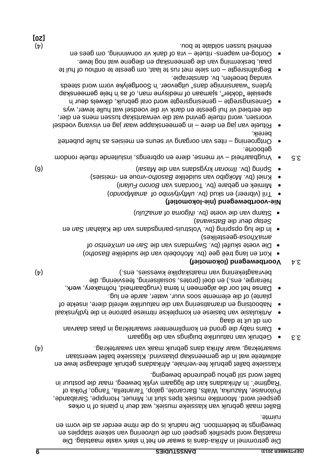Die getrommel in Afrika-dans is swaar en het it het vaste maatslag. Die maatslag word spesifiek gespeel om die uitvoering van sekere stappies en bewegings te beklemtoon. Die nadruk is op die ritme eerder as die vorm en ruimte.

Ballet maak gebruik van klassieke musiek, wat deur 'n pianis of 'n orkes gespeel word. Moontlike musiek tipes sluit in; Minuet, Hornpipe, Sarabande, Polonaise, Mazurka, Walts, Barcarole, galop, Tarantella, Tango, Polka of fagime'. In Afrikadans kan die liggaam vrylik beweeg, maar die postuur in . beweging word stil gehou gedurende ballet

Klassieke ballet gebruik fee-verhale, Afrikadans gebruik alledaagse lewe en aktiwiteite wat in die gemeenskap plaasvind. Klassieke ballet weerstaan (4) . swaartekrag, waar Afrika dans gebruik maak van swaartekrag

- $\delta$ .3 · · Gebruik van natuurlike buigings van die liggaam buige
- Dans naby die grond en komplimenteer swaartekrag in plaas daarvan om dit uit te daag
- kan basiese van basiese en komplekse ritmiese parone in die tydlynskaal Nabootsing en dramatisering van die natuurlike wêreld diere, insekte of
- . plante) of die elemente soos vuur, water, aarde en lug
- Danse het oor die algemeen 'n tema (vrugbaarheid, hofmakery, werk, hiërargie, ens.) en doel (protes, sosialisering, teesviering, die bevraagtekening van maatskaplike kwessies, ens.)

# **Voortbewegend (lokomotief)** 3.4

- Kort en lang treë gee (bv. Mohobelo van die suidelike Basotho)
- of *Die voete skuifel (bv. Swymdans van die San en an Xentso of* ) geestelikes - *amaXhosa*
- e In die lug opspring (bv. Volstruis-paringsparis opspring op sing opspring op an en-) *Batswana* deur die *Setap*
- **b** Stamp van die voete (bv. *iNgoma* io *forma* of *wandally*

# **lokomotief) - (nie voortbewegend - Nie**

- **•** Tril (vibreer) en skud (bv. uMtyityimbo of amaMpondo)
- Mimiek en gebare (bv. Toordans van Bororo Fulani)
- Kniel (bv. Mokgibo van suidelike Basotho-vroue en -meisies)
- **(6)** (bv. *Masahi ne Alasahi (hasahi ne alasahi disember 1898)* (a)
- $3.5 6$  vrugbaarheid vir mense, diere en opbrengs, insluitende intuele rondom . geboorte
- puberteit hulle meisies as seuns en vir senne en vir de baperteit . bereik
- Pituele van jag en diere in gemeenskappe waar jag en visvang voedsel voorsien, word rituele gevind wat die verwantskap tussen mens en dier, die eerbied vir hul geeste en dank vir die voedsel wat hulle lewer, wys
- Genesingsregte genesingsregte word oral gebruik, dikwels deur 'n spesiale "dokter", sjamaan of medisyne man, of as 'n hele gemeenskap tydens <sup>"</sup>waansinnige dans" uitgevoer. 'n Soortgelyke vorm word steeds vandag beoefen, bv. dansterapie.
- Begrafinisregte  $-$  om siele met rus te laat, om geeste te onthou of hul te paai, beskerming van die gemeenskap en diegene wat nog lewe.
- en gees en ander ituele vra of dank vir voormining, om gees en  $(\flat)$  . Soldate te bou tussen tussen een soldate te bou tussen een het bou tussen een besteld van die versies on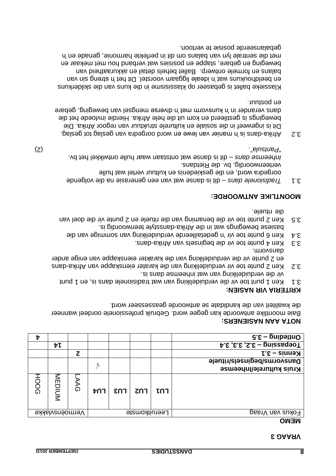#### **3 VRAAG**

#### **MEMO**

| tz   |                |    |     |               |     |     | $\mathsf{G}.\mathsf{E}-\mathsf{g}$ nibəl $\mathsf{H}\mathsf{O}$ |
|------|----------------|----|-----|---------------|-----|-----|-----------------------------------------------------------------|
|      | ヤレ             |    |     |               |     |     | $Toepasesin g - s.s.$ 3.3, 3.4                                  |
|      |                | ट  |     |               |     |     | Kennis – 3.1                                                    |
|      |                |    |     |               |     |     | <b>Dansvorms/beginsels/rituele</b>                              |
|      |                |    | N.  |               |     |     | Kruis kulturele/Inheemse                                        |
| HOOG | MEDIUM         | λΘ | t∪4 | EN3           | רחז | เกา |                                                                 |
|      | Vermoënsvlakke |    |     | Leeruitkomste |     |     | Fokus van Vraag                                                 |
|      |                |    |     |               |     |     |                                                                 |

#### **: NOTA AAN NASIENERS**

Baie moontlike antwoorde kan gegee word. Gebruik professionele oordeel wanneer . die kwaliteit van die kandidate se antwoorde geassesseer word

# **: KRITERIA VIR NASIEN**

- fradisionele vir die verduideliking van dan is, en 1 punt 1.1 punt 1.1 punt 1.1 punt 1.1 punt 1.1 punt 1.1 pun
- . ai znab esmeedni tsw nsv gnixilebiubrev eib niv a. S. Aen 2 punte toe vir verduideliking van die karater eienskappe van Afrika-dans en 2 punte vir die verduideliking van die karakter eienskappe van enige ander . dansvorm
- . ans Africa begins and the pequence vanish-dance control  $\epsilon$ .  $\epsilon$
- $\lambda$  Ken 6 punte toe vir 'n gedetailleerde verduideliking van van die van die . ai pibnoowneet elytaansb-saintA eib ni tew apnipewed eseized
- 3.5 Ken 2 punte toe vir die benaming van die rituele en 2 punte vir die doel van . bleutin eib

# **: MOONTLIKE ANTWOORDE**

a die van die van die van die van danse wat van die van die volgende en die volgende oorgedra word, en die geskiedenis en kultuur vertel wat hulle verteenwoordig, bv. die Rietdans. bv. waar hulle ontwikkel het ontstaan danse wat dit is – *Inheemse dans* (2) ". *Pantsula* "

. Only also be separate van geslag tot dans  $\alpha$  is elementated tot geslag  $\alpha$ . Dit is ingeweef in die sosiale en kulturele struktuur van regoor Afrika. Die bewegings is gestileerd en kom uit die hele Afrika. Hierdie invloede het die gebare wersuge mengsel van met 'n diverse mengsel van beweging, gebare . en postuur

Klassieke ballet is gebaseer op klassisisme in die kuns van die skilderkuns en beeldhoukuns wat in steale liggaam voorstel. Dit het it het geen van balans en formele ontwerp. Ballet behels detail en akkuraatheid van beweging en gebare, stappe en posisies wat verband hou met mekaar en met die sentrale lyn van balans om dit in perfekte harmonie, genade en 'n gepalanseerde bosisie te vertoon.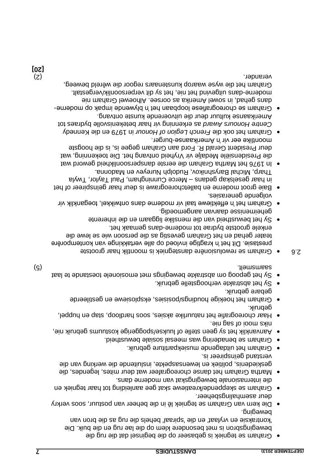- Graham se tegniek is gebaseer op die beginsel dat die rug die bewegingsbron is met besondere klem op die lae rug en die buik. Die 'kontraksie en vrylaat' en die 'spiraal' behels die rug as die bron van beweging.
- Die kern van Graham se tegniek lê in die beheer van postuur, soos verkry deur asemhalingsbeheer.
- en Graham se skeppende/kreatiewe skat gee aanleiding tot haar tegniek die internasionale bewegingskat van moderne dans.
- Martha Graham het danse choreografeer wat deur mites, legendes, die geskiedenis, politiek en lewensaspekte, insluitende die werking van die verstand geïnspireer is.
- Graham het uitdagende musiekpartiture gebruik. Graham se benadering was meesal sosiale bewustheid.
- Aanvanklik het sy geen stelle of luukse/spoggerige kostuums gebruik nie,
- niks mooi of sag nie. Haar choreografie het natuurlike aksies, soos hardloop, stap en huppel, gebruik.
- Graham het hoekige houdings/posisies, eksplosiewe en gestileerde gebare gebruik.
- Sy het abstrakte verhoogstelle gebruik. Sy het gepoog om abstrakte bewegings met emosionele toestande te laat
- grootste Graham se rewolusionêre danstegniek is moontlik haar 2.6 prestasie. Dit het 'n kragtige invloed op alle vertakkinge van kontemporêre

(5) saamsmelt.

- teater gehad en het Graham gevestig as die persoon wie se lewe die enkele grootste bydrae tot moderne-dans gemaak het.  $\bullet$  Sy het bewustheid van die menslike liggaam en die inherente geheimenisse daarvan aangemoedig.
- Graham het 'n effektiewe taal vir moderne dans ontwikkel, toeganklik vir volgende generasies.
- Baie groot moderne en balletchoreograwe is deur haar geïnspireer of het in haar geselskap gedans – Merce Cunningham, Paul Taylor, Twyla Tharp, Michal Baryshnikov, Rudolph Nureyev en Madonna.
- In 1976 het Martha Graham die eerste danspersoonlikheid geword wat die Presidensiële Medalje vir Vryheid ontvang het. Die toekenning, wat deur President Gerald R. Ford aan Graham gegee is, is die hoogste moontlike eer vir 'n Amerikaanse-burger.
- in 1979 en die Kennedy *French Legion of Honour* Graham het ook die Centre Honours Award as erkenning vir haar betekenisvalle bydraes tot Amerikaanse kultuur deur die uitvoerende kunste ontvang.
- ham se choreografiese loopbaan het 'n blywende impak op moderne Gra dans gehad, in sowel Amerika as oorsee. Alhoewel Graham nie moderne-dans uitgevind het nie, het sy dit verpersoonlik/vergestalt. , Graham het die wyse waarop kunstenaars regoor die wêreld beweeg (2) verander.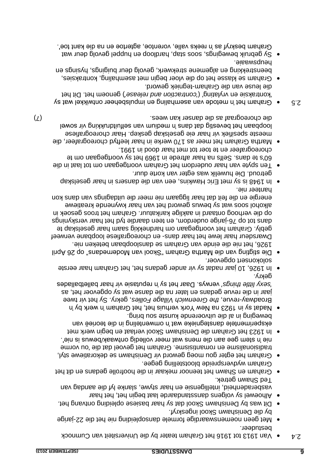- A van 1913 tot 1916 het Graham teater by die Universiteit van Cumnock
- . bestudeer jarige - Met geen noemenswaardige formele dansopleiding nie het die 22 . by die Denishawn Skool ingeskryf
- $\bullet$  Dit was by Denishawn Skool dat sy haar basiese opleibing privang het. Alhoewel sy volgens dansstandaarde laat begin het, het haar
- vasberadenheid, intelligensie en haar stywe, slanke lyf die aandag van . Ted Shawn getrek
- Graham en Shawn het teenoor mekaar in die hoofrolle gedans en dit het Graham wydverspreide blootstelling gegee.
- Graham het egter gou moeg geword vir Denishawn se dekoratiewe styl, tradisionalisme en romantisisme. Graham het gevoel dat die 'ou vorme
- . nie 'n stem gee aan die mens wat meer volledig ontwaak/bewus is nie' • In 1923 het Graham die Denishawn Skool verlaat en begin werk met eksperimentele danstegnieke wat 'n omwenteling in die teorieë van . beweging in al die uitvoerende kunste sou bring
- Nadat sy in 1923 na New York verhuis het, het Graham 'n werk by 'n Broadway-revue, the Greenwich Village Follies, gekry. Sy het vir twee jaar in die revue gedans en later na die danse wat sy opgevoer het, as verwys. Daar het sy 'n reputasie vir haar balletballades *'sexy little things'* . gekry
- $\bullet$  In 1926, 10 jaar nadat sy vir ander gedans het, het Graham haar eerste . solokonsert opgevoer
- Die stigting van die Martha Graham "Skool van Modernedans" op 26 April . 1926, het nie die einde van Graham se dansloopbaan beteken nie

Dwarsdeur haar lewe het haar dans- en choreografiese loopbane verweef ham het voortgegaan om hardnekkig saam haar geselskap te gebly. Gra dans tot op 76-jarige ouderdom, en teen daardie tyd het haar verskynings op die verhoog ontaard in aaklige karikatuur. Graham het troos gesoek in alkohol soos wat sy bewus geword het van haar kwynende kreatiewe energie en die feit dat haar liggaam nie meer die uitdagings van dans kon . hanteer nie

- In 1948 is sy met Eric Hawkins, een van die dansers in haar geselskap . getroud. Die huwelik was egter van korte duur
- Ten spyte van haar ouderdom het Graham voortgegaan om tot laat in die 60's te dans. Selfs na haar aftrede in 1969 het sy voortgegaan om te . choreografeer en te toer tot met haar dood in 1991
- Martha Graham het meer as 170 werke in haar leeftyd choreografeer, die meeste spesifiek vir haar eie geselskap geskep. Haar choreografiese loopbaan het bevestig dat dans 'n medium van selfuitdrukking vir sowel (7) . die choreograaf as die danser kan wees
- $S<sub>1</sub>$   $\bullet$  Graham het in metode van asemhaling en impulsbeheer ontwikkel wat sy ) genoem het. Dit het *'contraction and release'* 'kontraksie en vrylating' ( die leuse van die Graham-tegniek geword.
- Graham se klasse het op die vloer begin met asemhaling, kontraksies, beenstrekking en algemene strekwerk, gevolg deur buigings, hysings en heupswaaie.
- $\bullet$  Sy depruik bewegings, soos stap, hardloop en huppel gevolg deur wat Graham beskryf as 'n reeks valle, vorentoe, agtertoe en na die kant toe'.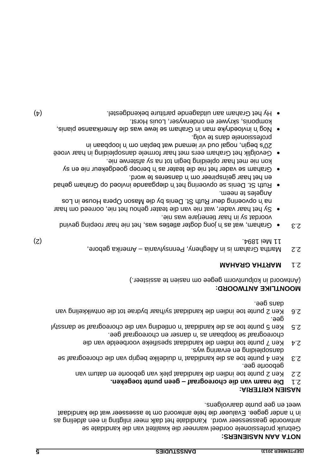#### **: NOTA AAN NASIENERS**

Gebruik professionele oordeel wanneer die kwaliteit van die kandidate se antwoorde geassesses in een afdeling meer inligting in een afdeling as in 'n ander gegee. Evalueer die hele antwoord om te assesseer wat die kandidaat weet en gee bunte gearvolgens.

#### **: NASIEN KRITERIA**

- **. toegeken geen punte – Die naam van die choreograaf** 2.1
- 2.2 Ken 2 punte toe indien die kandidaat plek van geboorte en datum van . geboorte gee
- 2.3 Ken 4 punte toe as die kandidaat 'n duidelike begrip van die choreograaf se ers an europelisation wys.
- $\mathsf{P}^{\mathsf{A}}$  Ken 7 punte toe indien die kandidaat spesifieke voorbeelde van die choreograaf se loopbaan as 'n danser en choreograaf gee.
- styl dans die van die van die van die eie van die choreograaf as totaat die kandidaat van die suiding in die s dee<sup>.</sup>
- 2.6 Ken 2 punte toe indien die kandidaat sy/haar bydrae tot die ontwikkeling van . dans gee

#### **: MOONTLIKE ANTWOORD**

(Antwoord in kolpuntvorm gegee om nasien te assisteer.)

# **MAHARD AHTAAM 1.2**

- Amerika gebore, Martha Graham is in Allegheny, Pennsylvania 2.2 (2) . 1894 Mei 11
- $\mathcal{E}$ .3 · · Graham, wat as in jong dogter atleties was, het nie haar roeping gevind . voordat sy in haar tienerjare was nie
- Sy het haar vader, wat nie van die teater gehou het nie, oorreed om haar na 'n opvoering deur Ruth St. Denis by die Mason Opera House in Los .meen et zelepnA
- $\bullet$  Ruth St. Denis se opvoering het in diepgaande invloed op Graham gehad . en het haar geïnspireer om 'n danseres te word
- Graham se vader het nie die teater as 'n beroep goedgekeur nie en sy . kon nie met haar opleiding begin tot na sy afsterwe nie
- opleiding in haar Graham eers met haar formele dansopleiding in haar vroeë 20's begin, nogal oud vir iemand wat beplan om 'n loopbaan in . professionele dans te volg
- Nog 'n invloedryke man in Graham se lewe was die Amerikaanse pianis, . komponis, skrywer en onderwyser, Louis Horst
- $\bullet$  Hy het Graham aan uitdagende behendgestel Hay het Graham  $(\uparrow)$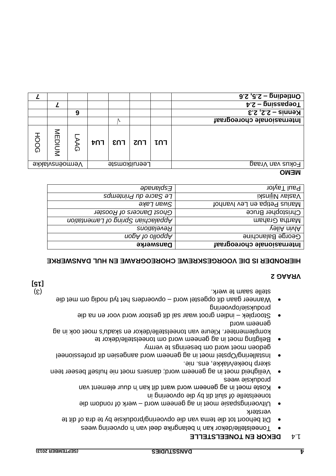**[15]**

#### **J.4 DEKOK EN LONEELSTELLE**

- Toneelstelle/dekor kan 'n belangrike deel van 'n opvoering wees
- Dit behoort tot die tema van die opvoering/produksie by te dra of dit te versterk
- Uitvoeringspasie moet in ag geneem word werk of rondom die toneelstelle óf sluit dit by die opvoering in
- Koste moet in ag geneem word want dit kan hin buur element van produksie wees
- Veiligheid moet in ag geneem word; dansers moet nie hulself beseer teen . skerp hoeke/vlakke, ens. nie
- Installering/Opstel moet in ag geneem word aangesien dit professioneel gedoen moet word om beserings te vermy
- Beligting moet in ag geneem word om toneelstelle/dekor te komplementeer. Kleure van toneelstelle/dekor en skadu's moet ook in ag geneem word
- Stoorplek indien groot waar sal dit gestoor word voor en na die produksie/opvoering
- Wanneer gaan dit opgestel word opvoerders het tyd nodig om met die stelle saam te werk. Soos is a stelle saam te werk. Soos is a stelle saam te werk is a stelle saam te werk is

#### **2 VRAAG**

#### **HIERONDER IS DIE VOORGESKREWE CHOREOGRAWE EN HUL DANSWERKE**

| <b>Danswerke</b>                  | Internasionale choreograaf     |
|-----------------------------------|--------------------------------|
| nopA to ollodgA                   | George Balanchine              |
| Revelations                       | vəliA nivlA                    |
| Appalachian Spring of Lamentation | martha Graham                  |
| Ghost Dancers of Rooster          | Christopher Bruce              |
| эует ием $\bm{\mathsf{S}}$        | Narius Petipa en Lev Ivanhof   |
| Le Sacre du Printemps             | <b>i</b> <i>NanijiN</i> vslasV |
| epewegs <sub>F</sub>              | Paul Taylor                    |
|                                   |                                |

#### **MEMO**

| Ontleding $-$ 2.5, 2.6                |     |     |               |     |   |                |             |
|---------------------------------------|-----|-----|---------------|-----|---|----------------|-------------|
| $\frac{1}{2}$ oebssedeo $\frac{1}{2}$ |     |     |               |     |   |                |             |
| Kennis – 2.2, 2.3                     |     |     |               |     | 9 |                |             |
| Internasionale choreograaf            |     |     |               |     |   |                |             |
|                                       | LU1 | רחז | EUS           | רחז | ධ | MEDIUM         | <b>HOOG</b> |
| Fokus van Vraag                       |     |     | Leeruitkomste |     |   | Vermoënsvlakke |             |
|                                       |     |     |               |     |   |                |             |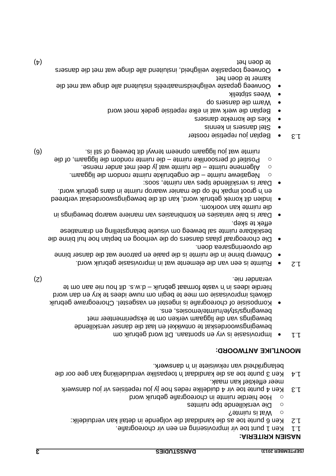#### **: NASIEN KRITERIA**

- . A ken 1 punt toe vir improvisering en een vir choreografie.
- : Ken 6 punte toe as die kandidaat die volgende in detail kan verduidelik 1.2
- o Mat is ruimte?
- Die verskillende tipe ruimtes o
- $\circ$  Hoe hierdie ruimte in choreografie gebruik word
- 1.3 Ken 4 punte toe vir 4 duidelike redes hoe jy jou repetisies vir jou danswerk . meer effektief kan maak
- $t + \mu$  Ken 3 punte toe as die kandidaat n'a Bepaslike verduideliking kan gee oor die belangrikheid van rekwisiete in 'n danswerk.

# **MOONTLIKE ANTWOORD:**

- Dit word gebruik om . vry en spontaan Improvisasie is 1.1 bewegingswoordeskat te ontwikkel en laat die danser verskillende bewegings van die liggaam verken om te eksperimenteer met bewegings/style/ruimte/emosies, ens.
- Komposisie of choreografie is ingestel en vasgestel. Choreograwe gebruik dikwels improvisasie om mee te begin om nuwe idees te kry en dan word bierdie idees in 'n vaste formaat gebruik – d.w.b. z.w. b. e.w. e. (2) . verander nie
- . Word is een van die elemente wat in improvisasie gebruik word.
- binne danser die patrone is die basie on batrone wat die danzer pinne .neob sensagnineovqo eib
- o Die choreograaf plaas dansers op die verhoog en beplan hoe hul binne die beskikbare ruimte sal beweeg om visuele belangstelling en dramatiese effek te skep.
- Daar is baie variasies en kombinasies van maniere waarop bewegings in . die ruimte kan voorkom
- Indien dit korrek gebruik word, kan dit die bewegingswoordeskat verbreed en 'n groot impak hê op die manier waarop ruimte in dans gebruik word.
- Daar is verskillende tipes van ruimte, soos:
- . The gaile we ruimte die ongebruikte ruimte rondom die liggaam and die die die entwendigte
- .  $\circ$  Mgemene ruimte die ruimte wat jy deel men ander mense.
- $\circ$  Positief of persoonlike ruimte die ruimte rondom die liggaam, of die ruimte wat jou liggaam opneem in lywnet meeg of term is. (6)
- 1.3 Beplan jou repetisie rooster
- e Stel dansers in kennis
- Kies die korrekte dansers
- Beplan die werk wat in elke repetisie gedek moet word
- die dansers op Warm
- Wees stiptelik
- Oorweeg gepaste veiligheidsmaatreëls insluitend alle dinge wat met die kamer te doen het
- die dansers dinge wat met alle veiligheid, insluitend toepaslike Oorweeg (A) het te doen het te doen van die stel van die stel van die verskil van die verskil van die verskil van die v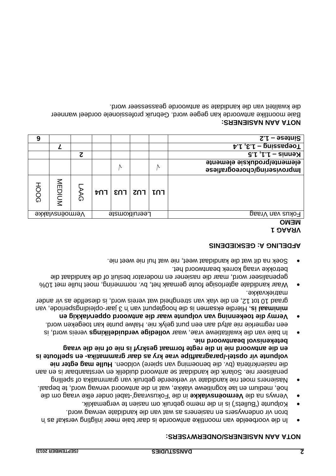#### **: NOTA AAN NASIENERS/ONDERWYSERS**

- In die voorbeelde van moontlike antwoorde is daar baie meer inligting verskaf as 'n . bron vir onderwysers en nasieners as wat van die kandidate verwag word
- Colpunte ('Bullets') is in die memo gebruik om nasien te vergemaklik.
- tabel onder elke vraag om die in die 'Fokusvraag' **ermoënsvlakke V** Verwys na die . hoë, medium en lae kognitiewe vlakke, wat in die antwoord verwag word, te bepaal
- Nasieners moet nie kandidate vir verkeerde gebruik van grammatika of spelling penaliseer nie. Solank die kandidaat se antwoord duidelik en verstaanbaar is en aan die nasienkriteria (bv. die benoeming van spiere) voldoen. Hulle mag egter nie **en spelfoute is - /paragraaftipe vrae kry as daar grammatika - stel volpunte vir op en die antwoord nie in die regte formaat geskryf is nie of nie die vraag**  *.* **betekenisvol beantwoord nie**
- In baie van die kwalitatiewe vrae, waar volledige verduidelikings vereis word, is een regmerkie nie altyd aan een punt gelyk nie. Halwe punte kan toegeken word.
- **Vermy die toekenning van volpunte waar die antwoord oppervlakkig en**  minimaal is. Hierdie eksamen is die hoogtebunt van 'n 3 jaar-opleidingsperiode, van graad 10 tot 12, en die vlak van strengheid wat vereis word, is dieselfde as vir ander matriekvakke.
- Waar kandidate agterlosige foute gemaak het, bv. nommering, moet hulle met 10% gepenaliseer word, maar die nasiener en moderator besluit of die kandidaat die betrokke vraag korrek beantwoord het.
- Soek na dit wat die kandidaat weet, nie wat hul nie weet nie.

# **AFDELING A: GESKIEDENIS**

# **1 VRAAG**

| $\uparrow$ . $\uparrow$ , $\epsilon$ . $\uparrow$ – priszageoT  |    |                                              |               |     |    |                |             |
|-----------------------------------------------------------------|----|----------------------------------------------|---------------|-----|----|----------------|-------------|
| $\mathcal{C} \cup \{ \cdot \}$ + $\mathcal{C} \cup \{ \cdot \}$ |    |                                              |               |     | ट  |                |             |
| elemente/produksie elemente<br>Improvisering/choreografiese     | /V |                                              | N             |     |    |                |             |
|                                                                 |    | $\mathsf{ENT}   \mathsf{ENT}   \mathsf{ENT}$ |               | ⊤∩ז | ΑG | MEDIUM         | <b>HOOG</b> |
| Fokus van Vraag                                                 |    |                                              | Leeruitkomste |     |    | Vermoënsvlakke |             |
| <b>MENO</b>                                                     |    |                                              |               |     |    |                |             |

#### **: NOTA AAN NASIENERS**

Baie moontlike antwoorde kan gegee word. Gebruik professionele oordeel wanneer . Brow die kandidate se antwoorde geasseseer word.

**6 1.2 – Sintese**